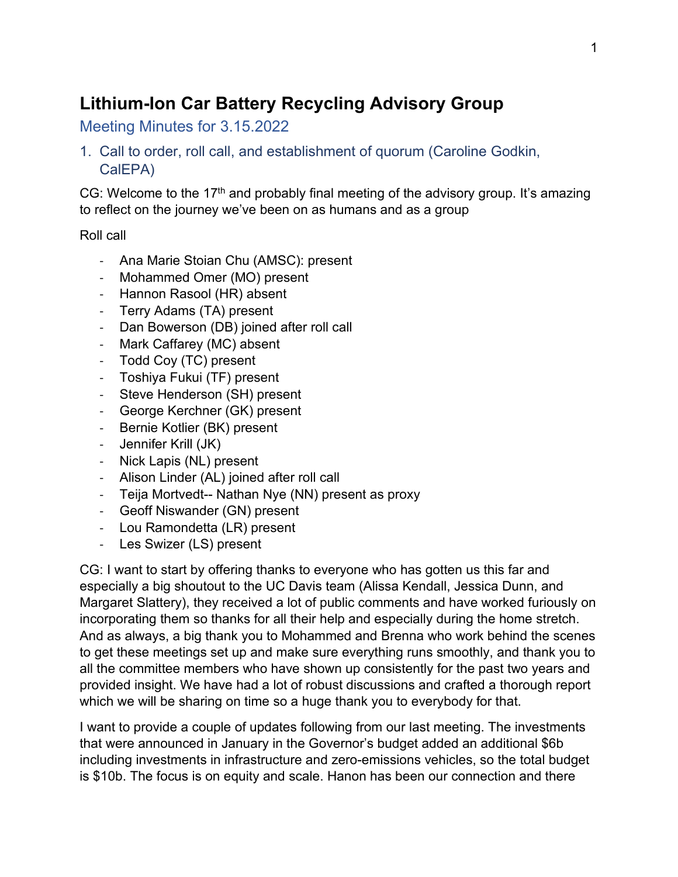# **Lithium-Ion Car Battery Recycling Advisory Group**

Meeting Minutes for 3.15.2022

1. Call to order, roll call, and establishment of quorum (Caroline Godkin, CalEPA)

CG: Welcome to the 17<sup>th</sup> and probably final meeting of the advisory group. It's amazing to reflect on the journey we've been on as humans and as a group

Roll call

- Ana Marie Stoian Chu (AMSC): present
- Mohammed Omer (MO) present
- Hannon Rasool (HR) absent
- Terry Adams (TA) present
- Dan Bowerson (DB) joined after roll call
- Mark Caffarey (MC) absent
- Todd Coy (TC) present
- Toshiya Fukui (TF) present
- Steve Henderson (SH) present
- George Kerchner (GK) present
- Bernie Kotlier (BK) present
- Jennifer Krill (JK)
- Nick Lapis (NL) present
- Alison Linder (AL) joined after roll call
- Teija Mortvedt-- Nathan Nye (NN) present as proxy
- Geoff Niswander (GN) present
- Lou Ramondetta (LR) present
- Les Swizer (LS) present

CG: I want to start by offering thanks to everyone who has gotten us this far and especially a big shoutout to the UC Davis team (Alissa Kendall, Jessica Dunn, and Margaret Slattery), they received a lot of public comments and have worked furiously on incorporating them so thanks for all their help and especially during the home stretch. And as always, a big thank you to Mohammed and Brenna who work behind the scenes to get these meetings set up and make sure everything runs smoothly, and thank you to all the committee members who have shown up consistently for the past two years and provided insight. We have had a lot of robust discussions and crafted a thorough report which we will be sharing on time so a huge thank you to everybody for that.

I want to provide a couple of updates following from our last meeting. The investments that were announced in January in the Governor's budget added an additional \$6b including investments in infrastructure and zero-emissions vehicles, so the total budget is \$10b. The focus is on equity and scale. Hanon has been our connection and there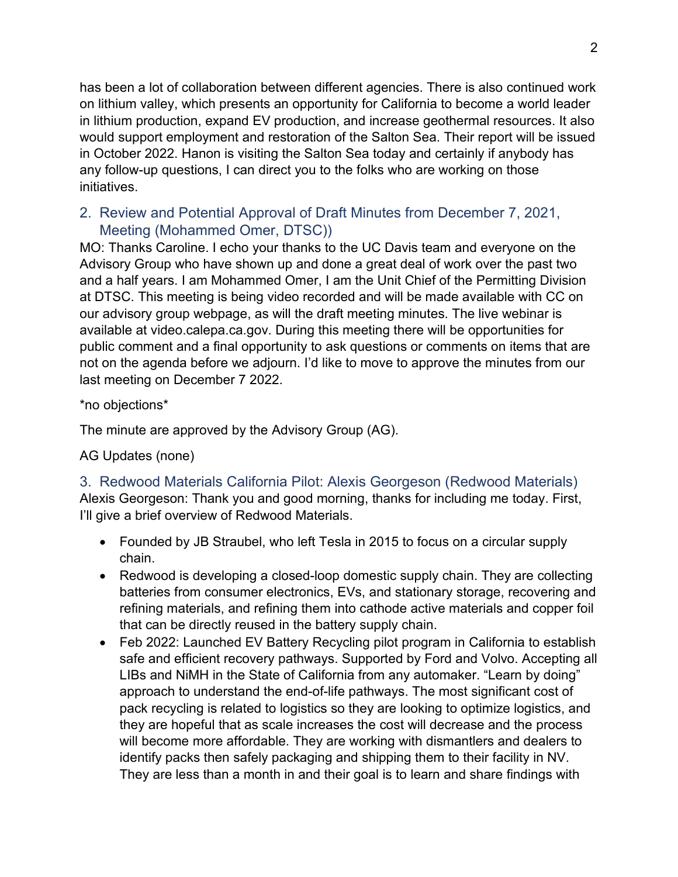has been a lot of collaboration between different agencies. There is also continued work on lithium valley, which presents an opportunity for California to become a world leader in lithium production, expand EV production, and increase geothermal resources. It also would support employment and restoration of the Salton Sea. Their report will be issued in October 2022. Hanon is visiting the Salton Sea today and certainly if anybody has any follow-up questions, I can direct you to the folks who are working on those initiatives.

## 2. Review and Potential Approval of Draft Minutes from December 7, 2021, Meeting (Mohammed Omer, DTSC))

MO: Thanks Caroline. I echo your thanks to the UC Davis team and everyone on the Advisory Group who have shown up and done a great deal of work over the past two and a half years. I am Mohammed Omer, I am the Unit Chief of the Permitting Division at DTSC. This meeting is being video recorded and will be made available with CC on our advisory group webpage, as will the draft meeting minutes. The live webinar is available at video.calepa.ca.gov. During this meeting there will be opportunities for public comment and a final opportunity to ask questions or comments on items that are not on the agenda before we adjourn. I'd like to move to approve the minutes from our last meeting on December 7 2022.

\*no objections\*

The minute are approved by the Advisory Group (AG).

AG Updates (none)

3. Redwood Materials California Pilot: Alexis Georgeson (Redwood Materials) Alexis Georgeson: Thank you and good morning, thanks for including me today. First, I'll give a brief overview of Redwood Materials.

- Founded by JB Straubel, who left Tesla in 2015 to focus on a circular supply chain.
- Redwood is developing a closed-loop domestic supply chain. They are collecting batteries from consumer electronics, EVs, and stationary storage, recovering and refining materials, and refining them into cathode active materials and copper foil that can be directly reused in the battery supply chain.
- Feb 2022: Launched EV Battery Recycling pilot program in California to establish safe and efficient recovery pathways. Supported by Ford and Volvo. Accepting all LIBs and NiMH in the State of California from any automaker. "Learn by doing" approach to understand the end-of-life pathways. The most significant cost of pack recycling is related to logistics so they are looking to optimize logistics, and they are hopeful that as scale increases the cost will decrease and the process will become more affordable. They are working with dismantlers and dealers to identify packs then safely packaging and shipping them to their facility in NV. They are less than a month in and their goal is to learn and share findings with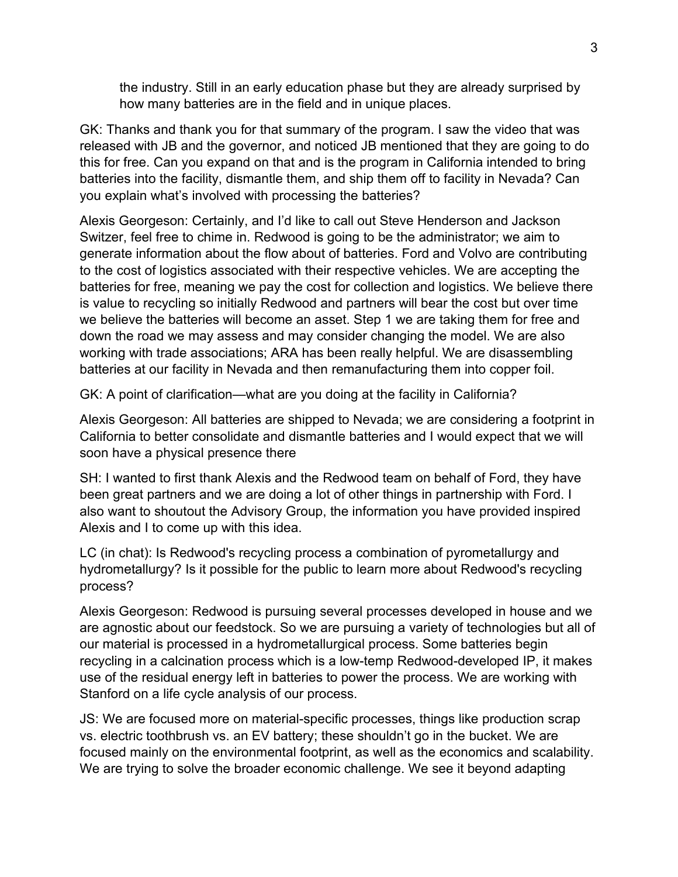the industry. Still in an early education phase but they are already surprised by how many batteries are in the field and in unique places.

GK: Thanks and thank you for that summary of the program. I saw the video that was released with JB and the governor, and noticed JB mentioned that they are going to do this for free. Can you expand on that and is the program in California intended to bring batteries into the facility, dismantle them, and ship them off to facility in Nevada? Can you explain what's involved with processing the batteries?

Alexis Georgeson: Certainly, and I'd like to call out Steve Henderson and Jackson Switzer, feel free to chime in. Redwood is going to be the administrator; we aim to generate information about the flow about of batteries. Ford and Volvo are contributing to the cost of logistics associated with their respective vehicles. We are accepting the batteries for free, meaning we pay the cost for collection and logistics. We believe there is value to recycling so initially Redwood and partners will bear the cost but over time we believe the batteries will become an asset. Step 1 we are taking them for free and down the road we may assess and may consider changing the model. We are also working with trade associations; ARA has been really helpful. We are disassembling batteries at our facility in Nevada and then remanufacturing them into copper foil.

GK: A point of clarification—what are you doing at the facility in California?

Alexis Georgeson: All batteries are shipped to Nevada; we are considering a footprint in California to better consolidate and dismantle batteries and I would expect that we will soon have a physical presence there

SH: I wanted to first thank Alexis and the Redwood team on behalf of Ford, they have been great partners and we are doing a lot of other things in partnership with Ford. I also want to shoutout the Advisory Group, the information you have provided inspired Alexis and I to come up with this idea.

LC (in chat): Is Redwood's recycling process a combination of pyrometallurgy and hydrometallurgy? Is it possible for the public to learn more about Redwood's recycling process?

Alexis Georgeson: Redwood is pursuing several processes developed in house and we are agnostic about our feedstock. So we are pursuing a variety of technologies but all of our material is processed in a hydrometallurgical process. Some batteries begin recycling in a calcination process which is a low-temp Redwood-developed IP, it makes use of the residual energy left in batteries to power the process. We are working with Stanford on a life cycle analysis of our process.

JS: We are focused more on material-specific processes, things like production scrap vs. electric toothbrush vs. an EV battery; these shouldn't go in the bucket. We are focused mainly on the environmental footprint, as well as the economics and scalability. We are trying to solve the broader economic challenge. We see it beyond adapting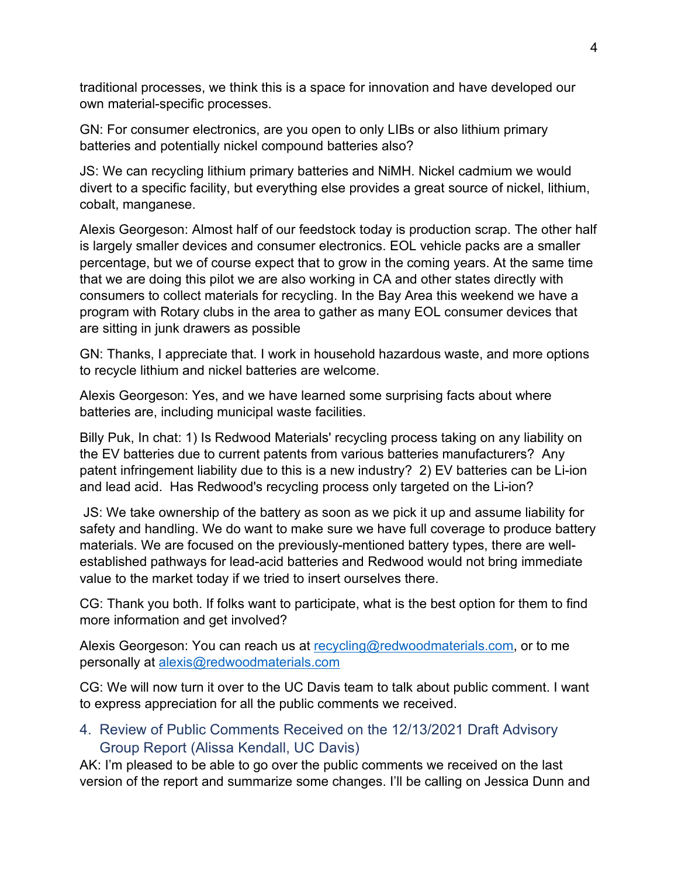traditional processes, we think this is a space for innovation and have developed our own material-specific processes.

GN: For consumer electronics, are you open to only LIBs or also lithium primary batteries and potentially nickel compound batteries also?

JS: We can recycling lithium primary batteries and NiMH. Nickel cadmium we would divert to a specific facility, but everything else provides a great source of nickel, lithium, cobalt, manganese.

Alexis Georgeson: Almost half of our feedstock today is production scrap. The other half is largely smaller devices and consumer electronics. EOL vehicle packs are a smaller percentage, but we of course expect that to grow in the coming years. At the same time that we are doing this pilot we are also working in CA and other states directly with consumers to collect materials for recycling. In the Bay Area this weekend we have a program with Rotary clubs in the area to gather as many EOL consumer devices that are sitting in junk drawers as possible

GN: Thanks, I appreciate that. I work in household hazardous waste, and more options to recycle lithium and nickel batteries are welcome.

Alexis Georgeson: Yes, and we have learned some surprising facts about where batteries are, including municipal waste facilities.

Billy Puk, In chat: 1) Is Redwood Materials' recycling process taking on any liability on the EV batteries due to current patents from various batteries manufacturers? Any patent infringement liability due to this is a new industry? 2) EV batteries can be Li-ion and lead acid. Has Redwood's recycling process only targeted on the Li-ion?

JS: We take ownership of the battery as soon as we pick it up and assume liability for safety and handling. We do want to make sure we have full coverage to produce battery materials. We are focused on the previously-mentioned battery types, there are wellestablished pathways for lead-acid batteries and Redwood would not bring immediate value to the market today if we tried to insert ourselves there.

CG: Thank you both. If folks want to participate, what is the best option for them to find more information and get involved?

Alexis Georgeson: You can reach us at [recycling@redwoodmaterials.com,](mailto:recycling@redwoodmaterials.com) or to me personally at [alexis@redwoodmaterials.com](mailto:alexis@redwoodmaterials.com)

CG: We will now turn it over to the UC Davis team to talk about public comment. I want to express appreciation for all the public comments we received.

## 4. Review of Public Comments Received on the 12/13/2021 Draft Advisory Group Report (Alissa Kendall, UC Davis)

AK: I'm pleased to be able to go over the public comments we received on the last version of the report and summarize some changes. I'll be calling on Jessica Dunn and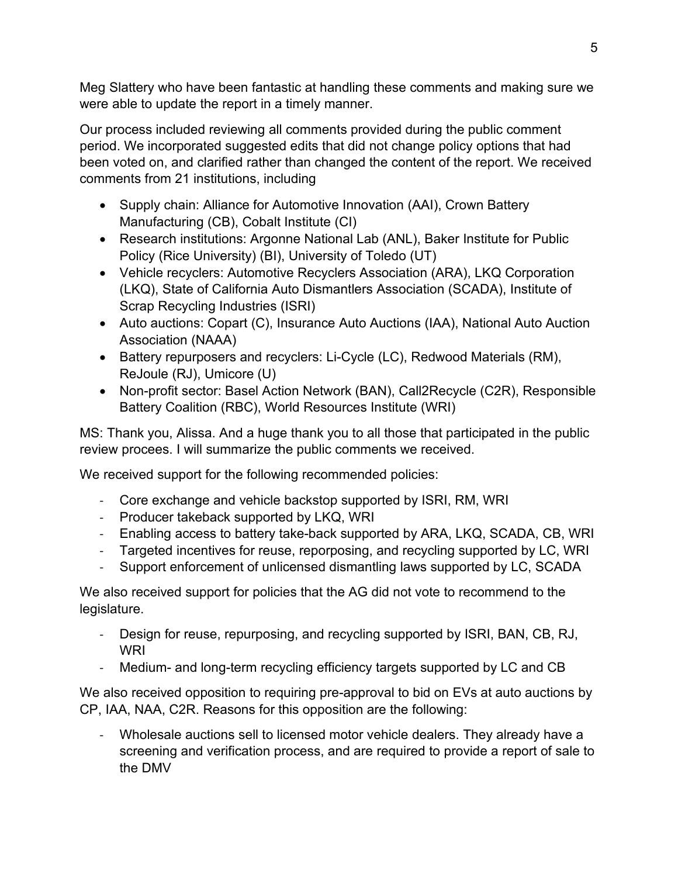Meg Slattery who have been fantastic at handling these comments and making sure we were able to update the report in a timely manner.

Our process included reviewing all comments provided during the public comment period. We incorporated suggested edits that did not change policy options that had been voted on, and clarified rather than changed the content of the report. We received comments from 21 institutions, including

- Supply chain: Alliance for Automotive Innovation (AAI), Crown Battery Manufacturing (CB), Cobalt Institute (CI)
- Research institutions: Argonne National Lab (ANL), Baker Institute for Public Policy (Rice University) (BI), University of Toledo (UT)
- Vehicle recyclers: Automotive Recyclers Association (ARA), LKQ Corporation (LKQ), State of California Auto Dismantlers Association (SCADA), Institute of Scrap Recycling Industries (ISRI)
- Auto auctions: Copart (C), Insurance Auto Auctions (IAA), National Auto Auction Association (NAAA)
- Battery repurposers and recyclers: Li-Cycle (LC), Redwood Materials (RM), ReJoule (RJ), Umicore (U)
- Non-profit sector: Basel Action Network (BAN), Call2Recycle (C2R), Responsible Battery Coalition (RBC), World Resources Institute (WRI)

MS: Thank you, Alissa. And a huge thank you to all those that participated in the public review procees. I will summarize the public comments we received.

We received support for the following recommended policies:

- Core exchange and vehicle backstop supported by ISRI, RM, WRI
- Producer takeback supported by LKQ, WRI
- Enabling access to battery take-back supported by ARA, LKQ, SCADA, CB, WRI
- Targeted incentives for reuse, reporposing, and recycling supported by LC, WRI
- Support enforcement of unlicensed dismantling laws supported by LC, SCADA

We also received support for policies that the AG did not vote to recommend to the legislature.

- Design for reuse, repurposing, and recycling supported by ISRI, BAN, CB, RJ, WRI
- Medium- and long-term recycling efficiency targets supported by LC and CB

We also received opposition to requiring pre-approval to bid on EVs at auto auctions by CP, IAA, NAA, C2R. Reasons for this opposition are the following:

- Wholesale auctions sell to licensed motor vehicle dealers. They already have a screening and verification process, and are required to provide a report of sale to the DMV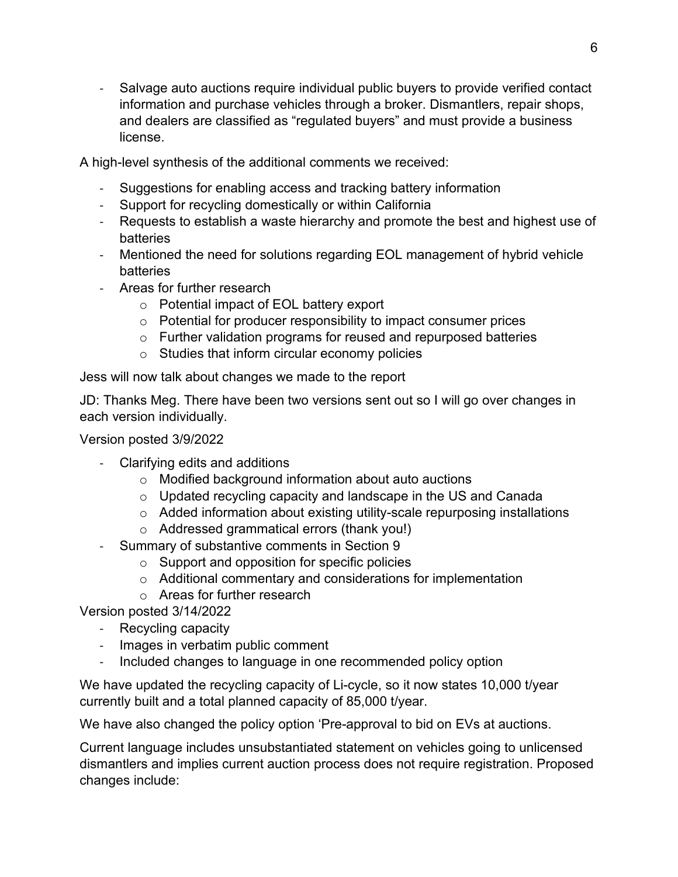- Salvage auto auctions require individual public buyers to provide verified contact information and purchase vehicles through a broker. Dismantlers, repair shops, and dealers are classified as "regulated buyers" and must provide a business license.

A high-level synthesis of the additional comments we received:

- Suggestions for enabling access and tracking battery information
- Support for recycling domestically or within California
- Requests to establish a waste hierarchy and promote the best and highest use of batteries
- Mentioned the need for solutions regarding EOL management of hybrid vehicle batteries
- Areas for further research
	- o Potential impact of EOL battery export
	- $\circ$  Potential for producer responsibility to impact consumer prices
	- o Further validation programs for reused and repurposed batteries
	- o Studies that inform circular economy policies

Jess will now talk about changes we made to the report

JD: Thanks Meg. There have been two versions sent out so I will go over changes in each version individually.

Version posted 3/9/2022

- Clarifying edits and additions
	- o Modified background information about auto auctions
	- o Updated recycling capacity and landscape in the US and Canada
	- o Added information about existing utility-scale repurposing installations
	- o Addressed grammatical errors (thank you!)
- Summary of substantive comments in Section 9
	- $\circ$  Support and opposition for specific policies
		- o Additional commentary and considerations for implementation
		- o Areas for further research

Version posted 3/14/2022

- Recycling capacity
- Images in verbatim public comment
- Included changes to language in one recommended policy option

We have updated the recycling capacity of Li-cycle, so it now states 10,000 t/year currently built and a total planned capacity of 85,000 t/year.

We have also changed the policy option 'Pre-approval to bid on EVs at auctions.

Current language includes unsubstantiated statement on vehicles going to unlicensed dismantlers and implies current auction process does not require registration. Proposed changes include: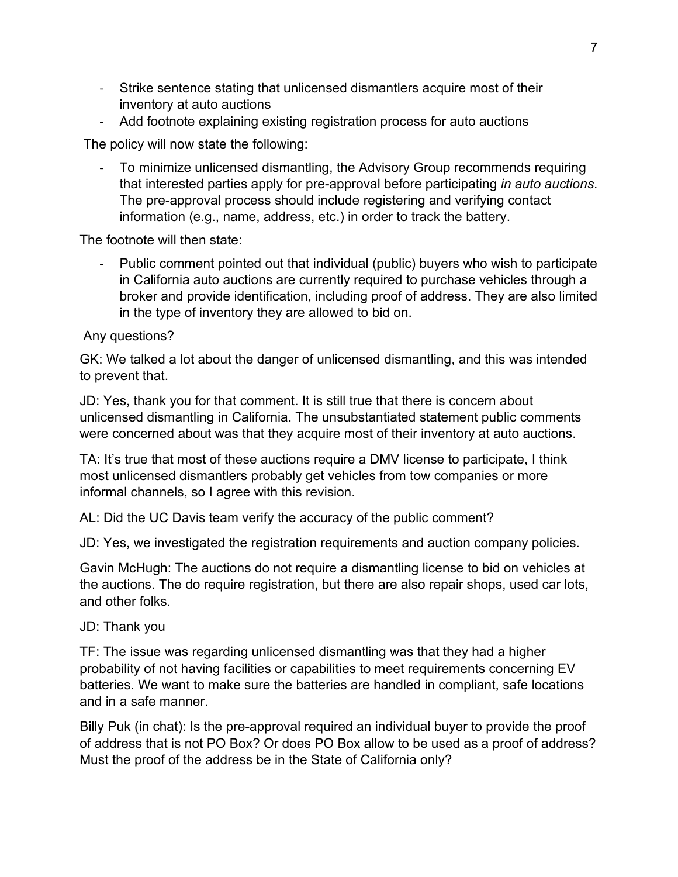- Strike sentence stating that unlicensed dismantlers acquire most of their inventory at auto auctions
- Add footnote explaining existing registration process for auto auctions

The policy will now state the following:

- To minimize unlicensed dismantling, the Advisory Group recommends requiring that interested parties apply for pre-approval before participating *in auto auctions*. The pre-approval process should include registering and verifying contact information (e.g., name, address, etc.) in order to track the battery.

The footnote will then state:

- Public comment pointed out that individual (public) buyers who wish to participate in California auto auctions are currently required to purchase vehicles through a broker and provide identification, including proof of address. They are also limited in the type of inventory they are allowed to bid on.

Any questions?

GK: We talked a lot about the danger of unlicensed dismantling, and this was intended to prevent that.

JD: Yes, thank you for that comment. It is still true that there is concern about unlicensed dismantling in California. The unsubstantiated statement public comments were concerned about was that they acquire most of their inventory at auto auctions.

TA: It's true that most of these auctions require a DMV license to participate, I think most unlicensed dismantlers probably get vehicles from tow companies or more informal channels, so I agree with this revision.

AL: Did the UC Davis team verify the accuracy of the public comment?

JD: Yes, we investigated the registration requirements and auction company policies.

Gavin McHugh: The auctions do not require a dismantling license to bid on vehicles at the auctions. The do require registration, but there are also repair shops, used car lots, and other folks.

JD: Thank you

TF: The issue was regarding unlicensed dismantling was that they had a higher probability of not having facilities or capabilities to meet requirements concerning EV batteries. We want to make sure the batteries are handled in compliant, safe locations and in a safe manner.

Billy Puk (in chat): Is the pre-approval required an individual buyer to provide the proof of address that is not PO Box? Or does PO Box allow to be used as a proof of address? Must the proof of the address be in the State of California only?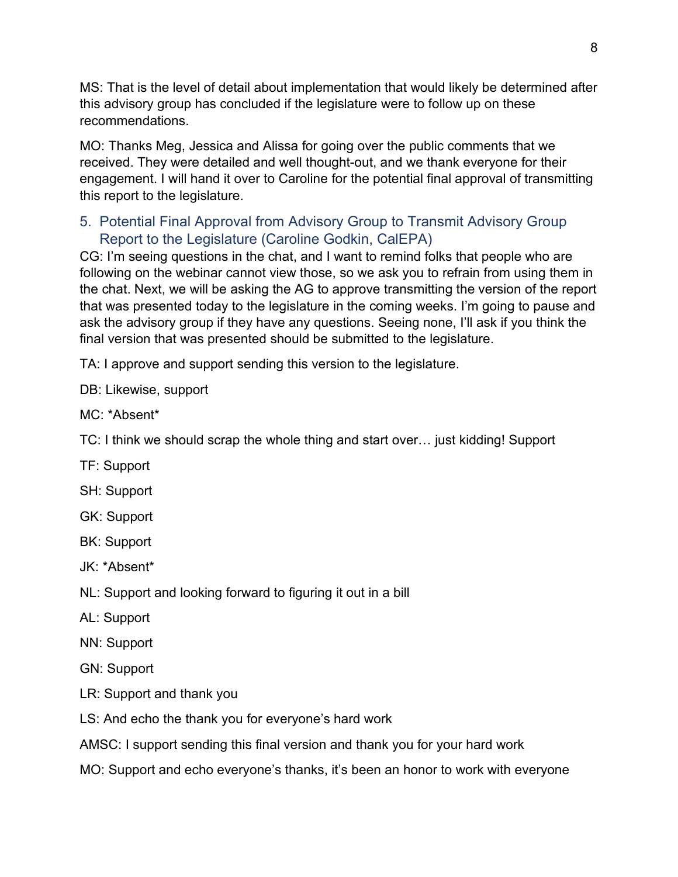MS: That is the level of detail about implementation that would likely be determined after this advisory group has concluded if the legislature were to follow up on these recommendations.

MO: Thanks Meg, Jessica and Alissa for going over the public comments that we received. They were detailed and well thought-out, and we thank everyone for their engagement. I will hand it over to Caroline for the potential final approval of transmitting this report to the legislature.

## 5. Potential Final Approval from Advisory Group to Transmit Advisory Group Report to the Legislature (Caroline Godkin, CalEPA)

CG: I'm seeing questions in the chat, and I want to remind folks that people who are following on the webinar cannot view those, so we ask you to refrain from using them in the chat. Next, we will be asking the AG to approve transmitting the version of the report that was presented today to the legislature in the coming weeks. I'm going to pause and ask the advisory group if they have any questions. Seeing none, I'll ask if you think the final version that was presented should be submitted to the legislature.

TA: I approve and support sending this version to the legislature.

DB: Likewise, support

MC: \*Absent\*

TC: I think we should scrap the whole thing and start over… just kidding! Support

TF: Support

SH: Support

GK: Support

BK: Support

JK: \*Absent\*

NL: Support and looking forward to figuring it out in a bill

AL: Support

NN: Support

GN: Support

LR: Support and thank you

LS: And echo the thank you for everyone's hard work

AMSC: I support sending this final version and thank you for your hard work

MO: Support and echo everyone's thanks, it's been an honor to work with everyone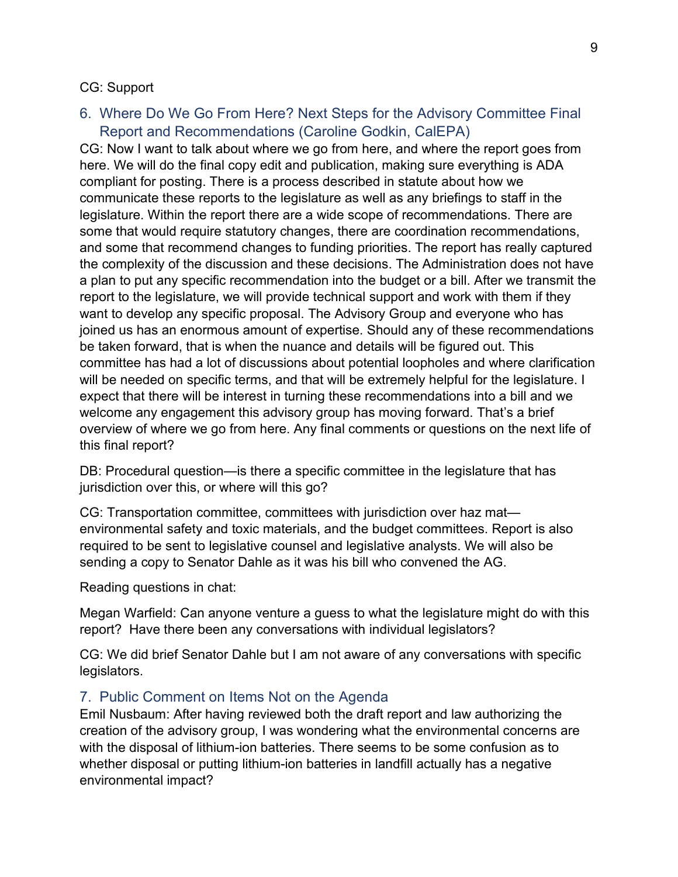#### CG: Support

### 6. Where Do We Go From Here? Next Steps for the Advisory Committee Final Report and Recommendations (Caroline Godkin, CalEPA)

CG: Now I want to talk about where we go from here, and where the report goes from here. We will do the final copy edit and publication, making sure everything is ADA compliant for posting. There is a process described in statute about how we communicate these reports to the legislature as well as any briefings to staff in the legislature. Within the report there are a wide scope of recommendations. There are some that would require statutory changes, there are coordination recommendations, and some that recommend changes to funding priorities. The report has really captured the complexity of the discussion and these decisions. The Administration does not have a plan to put any specific recommendation into the budget or a bill. After we transmit the report to the legislature, we will provide technical support and work with them if they want to develop any specific proposal. The Advisory Group and everyone who has joined us has an enormous amount of expertise. Should any of these recommendations be taken forward, that is when the nuance and details will be figured out. This committee has had a lot of discussions about potential loopholes and where clarification will be needed on specific terms, and that will be extremely helpful for the legislature. I expect that there will be interest in turning these recommendations into a bill and we welcome any engagement this advisory group has moving forward. That's a brief overview of where we go from here. Any final comments or questions on the next life of this final report?

DB: Procedural question—is there a specific committee in the legislature that has jurisdiction over this, or where will this go?

CG: Transportation committee, committees with jurisdiction over haz mat environmental safety and toxic materials, and the budget committees. Report is also required to be sent to legislative counsel and legislative analysts. We will also be sending a copy to Senator Dahle as it was his bill who convened the AG.

Reading questions in chat:

Megan Warfield: Can anyone venture a guess to what the legislature might do with this report? Have there been any conversations with individual legislators?

CG: We did brief Senator Dahle but I am not aware of any conversations with specific legislators.

### 7. Public Comment on Items Not on the Agenda

Emil Nusbaum: After having reviewed both the draft report and law authorizing the creation of the advisory group, I was wondering what the environmental concerns are with the disposal of lithium-ion batteries. There seems to be some confusion as to whether disposal or putting lithium-ion batteries in landfill actually has a negative environmental impact?